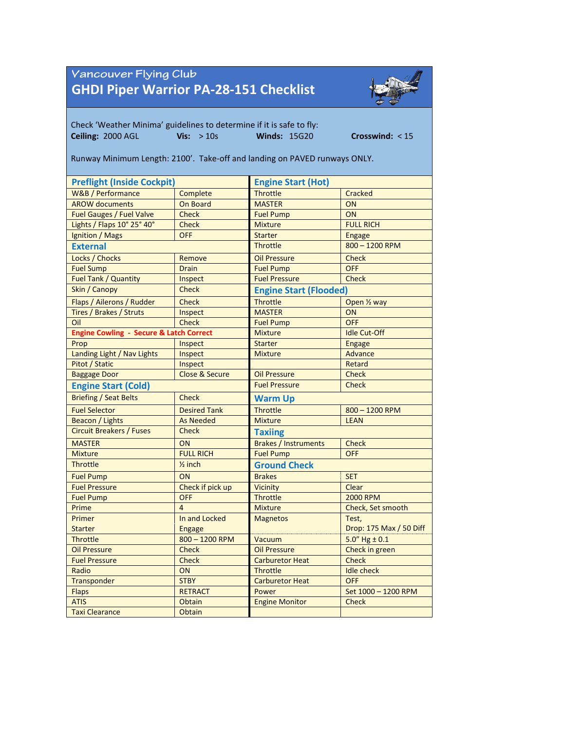## Vancouver Flying Club **GHDI Piper Warrior PA-28-151 Checklist**



Check 'Weather Minima' guidelines to determine if it is safe to fly: **Ceiling:** 2000 AGL **Vis:** > 10s **Winds:** 15G20 **Crosswind:** < 15 Runway Minimum Length: 2100'. Take-off and landing on PAVED runways ONLY.

| <b>Preflight (Inside Cockpit)</b>                  |                           | <b>Engine Start (Hot)</b>            |                         |  |  |
|----------------------------------------------------|---------------------------|--------------------------------------|-------------------------|--|--|
| W&B / Performance                                  | Complete                  | <b>Throttle</b>                      | Cracked                 |  |  |
| <b>AROW documents</b>                              | On Board                  | <b>MASTER</b>                        | ON                      |  |  |
| Fuel Gauges / Fuel Valve                           | <b>Check</b>              | <b>Fuel Pump</b>                     | ON                      |  |  |
| Lights / Flaps 10° 25° 40°                         | <b>Check</b>              | <b>Mixture</b>                       | <b>FULL RICH</b>        |  |  |
| Ignition / Mags                                    | <b>OFF</b>                | <b>Starter</b>                       | <b>Engage</b>           |  |  |
| <b>External</b>                                    |                           | <b>Throttle</b>                      | 800 - 1200 RPM          |  |  |
| Locks / Chocks                                     | Remove                    | <b>Oil Pressure</b>                  | <b>Check</b>            |  |  |
| <b>Fuel Sump</b>                                   | <b>Drain</b>              | <b>Fuel Pump</b>                     | <b>OFF</b>              |  |  |
| Fuel Tank / Quantity                               | Inspect                   | <b>Fuel Pressure</b><br><b>Check</b> |                         |  |  |
| Skin / Canopy                                      | <b>Check</b>              | <b>Engine Start (Flooded)</b>        |                         |  |  |
| Flaps / Ailerons / Rudder                          | <b>Check</b>              | <b>Throttle</b>                      | Open 1/2 way            |  |  |
| Tires / Brakes / Struts                            | Inspect                   | <b>MASTER</b>                        | ON                      |  |  |
| Oil                                                | <b>Check</b>              | <b>Fuel Pump</b>                     | <b>OFF</b>              |  |  |
| <b>Engine Cowling - Secure &amp; Latch Correct</b> |                           | <b>Mixture</b>                       | <b>Idle Cut-Off</b>     |  |  |
| Prop                                               | Inspect                   | <b>Starter</b>                       | <b>Engage</b>           |  |  |
| Landing Light / Nav Lights                         | Inspect                   | <b>Mixture</b>                       | Advance                 |  |  |
| Pitot / Static                                     | Inspect                   |                                      | Retard                  |  |  |
| <b>Baggage Door</b>                                | <b>Close &amp; Secure</b> | <b>Oil Pressure</b>                  | <b>Check</b>            |  |  |
| <b>Engine Start (Cold)</b>                         |                           | <b>Fuel Pressure</b>                 | <b>Check</b>            |  |  |
| <b>Briefing / Seat Belts</b>                       | <b>Check</b>              | <b>Warm Up</b>                       |                         |  |  |
| <b>Fuel Selector</b>                               | <b>Desired Tank</b>       | <b>Throttle</b>                      | 800 - 1200 RPM          |  |  |
| Beacon / Lights                                    | <b>As Needed</b>          | <b>Mixture</b><br><b>LEAN</b>        |                         |  |  |
| <b>Circuit Breakers / Fuses</b>                    | <b>Check</b>              | <b>Taxiing</b>                       |                         |  |  |
| <b>MASTER</b>                                      | ON                        | <b>Brakes / Instruments</b>          | <b>Check</b>            |  |  |
| <b>Mixture</b>                                     | <b>FULL RICH</b>          | <b>Fuel Pump</b>                     | <b>OFF</b>              |  |  |
| <b>Throttle</b>                                    | $\frac{1}{2}$ inch        | <b>Ground Check</b>                  |                         |  |  |
| <b>Fuel Pump</b>                                   | ON                        | <b>Brakes</b>                        | <b>SET</b>              |  |  |
| <b>Fuel Pressure</b>                               | Check if pick up          | Vicinity                             | Clear                   |  |  |
| <b>Fuel Pump</b>                                   | <b>OFF</b>                | <b>Throttle</b>                      | <b>2000 RPM</b>         |  |  |
| Prime                                              | $\overline{4}$            | <b>Mixture</b>                       | Check, Set smooth       |  |  |
| Primer                                             | In and Locked             | <b>Magnetos</b>                      | Test,                   |  |  |
| <b>Starter</b>                                     | <b>Engage</b>             |                                      | Drop: 175 Max / 50 Diff |  |  |
| <b>Throttle</b>                                    | $800 - 1200$ RPM          | Vacuum                               | $5.0''$ Hg $\pm$ 0.1    |  |  |
| <b>Oil Pressure</b>                                | <b>Check</b>              | <b>Oil Pressure</b>                  | Check in green          |  |  |
| <b>Fuel Pressure</b>                               | <b>Check</b>              | <b>Carburetor Heat</b>               | <b>Check</b>            |  |  |
| Radio                                              | ON                        | <b>Throttle</b>                      | <b>Idle check</b>       |  |  |
| Transponder                                        | <b>STBY</b>               | <b>Carburetor Heat</b>               | OFF                     |  |  |
| <b>Flaps</b>                                       | <b>RETRACT</b>            | Power                                | Set 1000 - 1200 RPM     |  |  |
| <b>ATIS</b>                                        | Obtain                    | <b>Engine Monitor</b>                | <b>Check</b>            |  |  |
| <b>Taxi Clearance</b>                              | Obtain                    |                                      |                         |  |  |